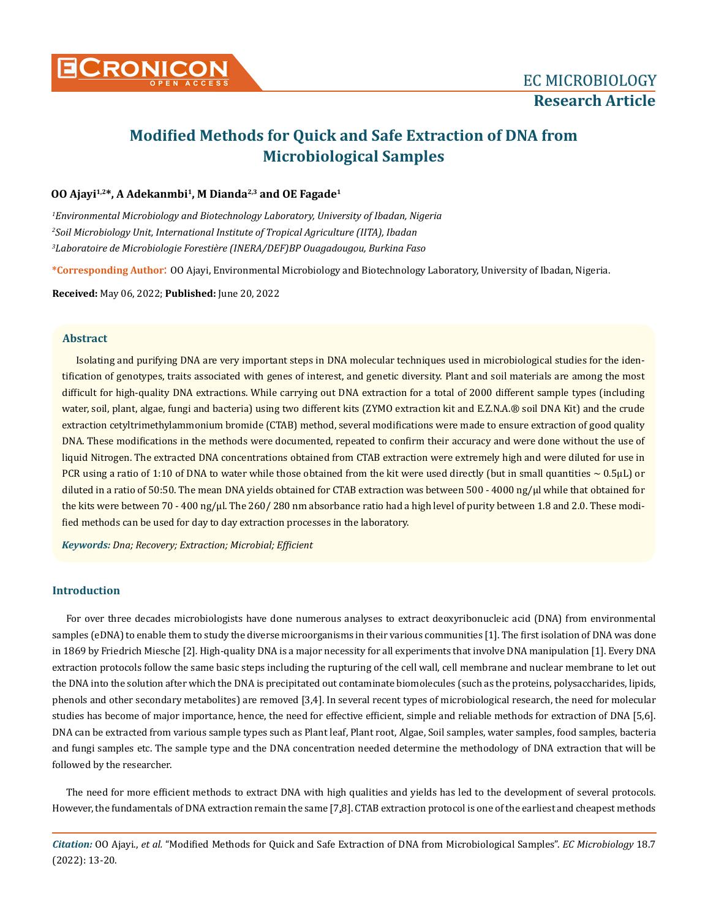# **Modified Methods for Quick and Safe Extraction of DNA from Microbiological Samples**

# **OO Ajayi1,2\*, A Adekanmbi<sup>1</sup>, M Dianda2,3 and OE Fagade<sup>1</sup>**

*1 Environmental Microbiology and Biotechnology Laboratory, University of Ibadan, Nigeria 2 Soil Microbiology Unit, International Institute of Tropical Agriculture (IITA), Ibadan 3 Laboratoire de Microbiologie Forestière (INERA/DEF)BP Ouagadougou, Burkina Faso*

**\*Corresponding Author**: OO Ajayi, Environmental Microbiology and Biotechnology Laboratory, University of Ibadan, Nigeria.

**Received:** May 06, 2022; **Published:** June 20, 2022

# **Abstract**

Isolating and purifying DNA are very important steps in DNA molecular techniques used in microbiological studies for the identification of genotypes, traits associated with genes of interest, and genetic diversity. Plant and soil materials are among the most difficult for high-quality DNA extractions. While carrying out DNA extraction for a total of 2000 different sample types (including water, soil, plant, algae, fungi and bacteria) using two different kits (ZYMO extraction kit and E.Z.N.A.® soil DNA Kit) and the crude extraction cetyltrimethylammonium bromide (CTAB) method, several modifications were made to ensure extraction of good quality DNA. These modifications in the methods were documented, repeated to confirm their accuracy and were done without the use of liquid Nitrogen. The extracted DNA concentrations obtained from CTAB extraction were extremely high and were diluted for use in PCR using a ratio of 1:10 of DNA to water while those obtained from the kit were used directly (but in small quantities  $\sim 0.5 \mu L$ ) or diluted in a ratio of 50:50. The mean DNA yields obtained for CTAB extraction was between 500 - 4000 ng/µl while that obtained for the kits were between 70 - 400 ng/ $\mu$ l. The 260/ 280 nm absorbance ratio had a high level of purity between 1.8 and 2.0. These modified methods can be used for day to day extraction processes in the laboratory.

*Keywords: Dna; Recovery; Extraction; Microbial; Efficient*

# **Introduction**

For over three decades microbiologists have done numerous analyses to extract deoxyribonucleic acid (DNA) from environmental samples (eDNA) to enable them to study the diverse microorganisms in their various communities [1]. The first isolation of DNA was done in 1869 by [Friedrich Miesche \[](https://en.wikipedia.org/wiki/Friedrich_Miescher)2]*.* High-quality DNA is a major necessity for all experiments that involve DNA manipulation [1]. Every DNA extraction protocols follow the same basic steps including the rupturing of the cell wall, cell membrane and nuclear membrane to let out the DNA into the solution after which the DNA is precipitated out contaminate biomolecules (such as the proteins, polysaccharides, lipids, phenols and other secondary metabolites) are removed [3,4]. In several recent types of microbiological research, the need for molecular studies has become of major importance, hence, the need for effective efficient, simple and reliable methods for extraction of DNA [5,6]. DNA can be extracted from various sample types such as Plant leaf, Plant root, Algae, Soil samples, water samples, food samples, bacteria and fungi samples etc. The sample type and the DNA concentration needed determine the methodology of DNA extraction that will be followed by the researcher.

The need for more efficient methods to extract DNA with high qualities and yields has led to the development of several protocols. However, the fundamentals of DNA extraction remain the same [7,8]. CTAB extraction protocol is one of the earliest and cheapest methods

*Citation:* OO Ajayi., *et al.* "Modified Methods for Quick and Safe Extraction of DNA from Microbiological Samples". *EC Microbiology* 18.7 (2022): 13-20.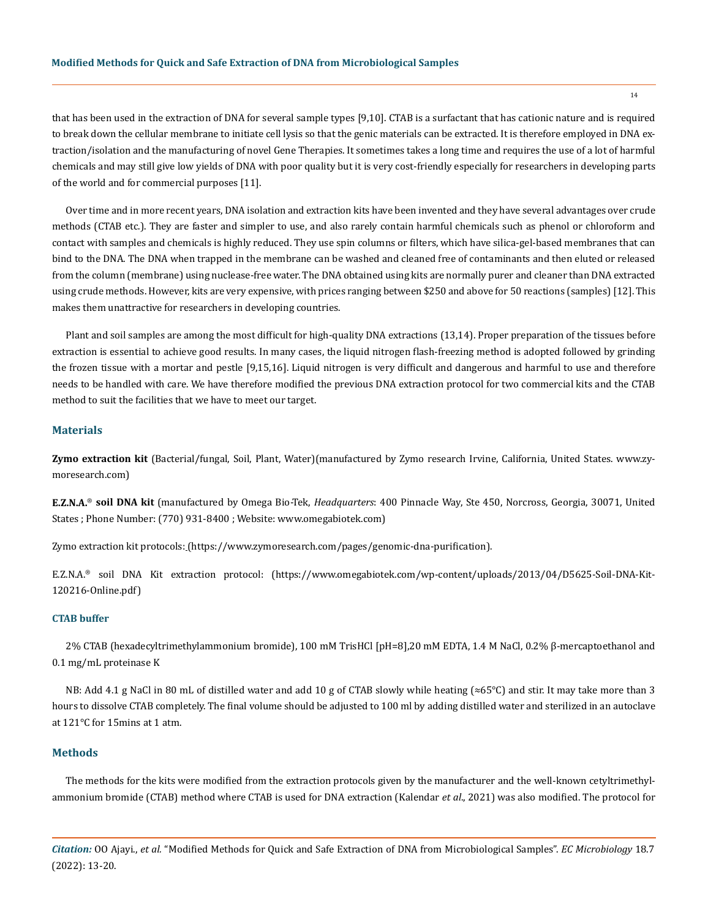that has been used in the extraction of DNA for several sample types [9,10]. CTAB is a surfactant that has cationic nature and is required to break down the cellular membrane to initiate cell lysis so that the genic materials can be extracted. It is therefore employed in DNA extraction/isolation and the manufacturing of novel Gene Therapies. It sometimes takes a long time and requires the use of a lot of harmful chemicals and may still give low yields of DNA with poor quality but it is very cost-friendly especially for researchers in developing parts of the world and for commercial purposes [11].

Over time and in more recent years, DNA isolation and extraction kits have been invented and they have several advantages over crude methods (CTAB etc.). They are faster and simpler to use, and also rarely contain harmful chemicals such as phenol or chloroform and contact with samples and chemicals is highly reduced. They use spin columns or filters, which have silica-gel-based membranes that can bind to the DNA. The DNA when trapped in the membrane can be washed and cleaned free of contaminants and then eluted or released from the column (membrane) using nuclease-free water. The DNA obtained using kits are normally purer and cleaner than DNA extracted using crude methods. However, kits are very expensive, with prices ranging between \$250 and above for 50 reactions (samples) [12]. This makes them unattractive for researchers in developing countries.

Plant and soil samples are among the most difficult for high-quality DNA extractions (13,14). Proper preparation of the tissues before extraction is essential to achieve good results. In many cases, the liquid nitrogen flash-freezing method is adopted followed by grinding the frozen tissue with a mortar and pestle [9,15,16]. Liquid nitrogen is very difficult and dangerous and harmful to use and therefore needs to be handled with care. We have therefore modified the previous DNA extraction protocol for two commercial kits and the CTAB method to suit the facilities that we have to meet our target.

#### **Materials**

**Zymo extraction kit** (Bacterial/fungal, Soil, Plant, Water)(manufactured by Zymo research [Irvine](https://www.crunchbase.com/search/organizations/field/organizations/location_identifiers/irvine-california), [California](https://www.crunchbase.com/search/organizations/field/organizations/location_identifiers/california-united-states), [United States](https://www.crunchbase.com/search/organizations/field/organizations/location_identifiers/united-states). [www.zy](http://www.zymoresearch.com)[moresearch.com\)](http://www.zymoresearch.com)

**E.Z.N.A.**® **soil DNA kit** (manufactured by Omega Bio-Tek, *Headquarters*: 400 Pinnacle Way, Ste 450, Norcross, Georgia, 30071, United States ; Phone Number: (770) 931-8400 ; Website: [www.omegabiotek.com](http://www.omegabiotek.com))

Zymo extraction kit protocols: (<https://www.zymoresearch.com/pages/genomic-dna-purification>).

E.Z.N.A.® soil DNA Kit extraction protocol: ([https://www.omegabiotek.com/wp-content/uploads/2013/04/D5625-Soil-DNA-Kit-](https://www.omegabiotek.com/wp-content/uploads/2013/04/D5625-Soil-DNA-Kit-120216-Online.pdf)[120216-Online.pdf](https://www.omegabiotek.com/wp-content/uploads/2013/04/D5625-Soil-DNA-Kit-120216-Online.pdf))

# **CTAB buffer**

2% CTAB (hexadecyltrimethylammonium bromide), 100 mM TrisHCl [pH=8],20 mM EDTA, 1.4 M NaCl, 0.2% β-mercaptoethanol and 0.1 mg/mL proteinase K

NB: Add 4.1 g NaCl in 80 mL of distilled water and add 10 g of CTAB slowly while heating (≈65°C) and stir. It may take more than 3 hours to dissolve CTAB completely. The final volume should be adjusted to 100 ml by adding distilled water and sterilized in an autoclave at 121°C for 15mins at 1 atm.

### **Methods**

The methods for the kits were modified from the extraction protocols given by the manufacturer and the well-known cetyltrimethylammonium bromide (CTAB) method where CTAB is used for DNA extraction (Kalendar *et al*., 2021) was also modified. The protocol for

*Citation:* OO Ajayi., *et al.* "Modified Methods for Quick and Safe Extraction of DNA from Microbiological Samples". *EC Microbiology* 18.7 (2022): 13-20.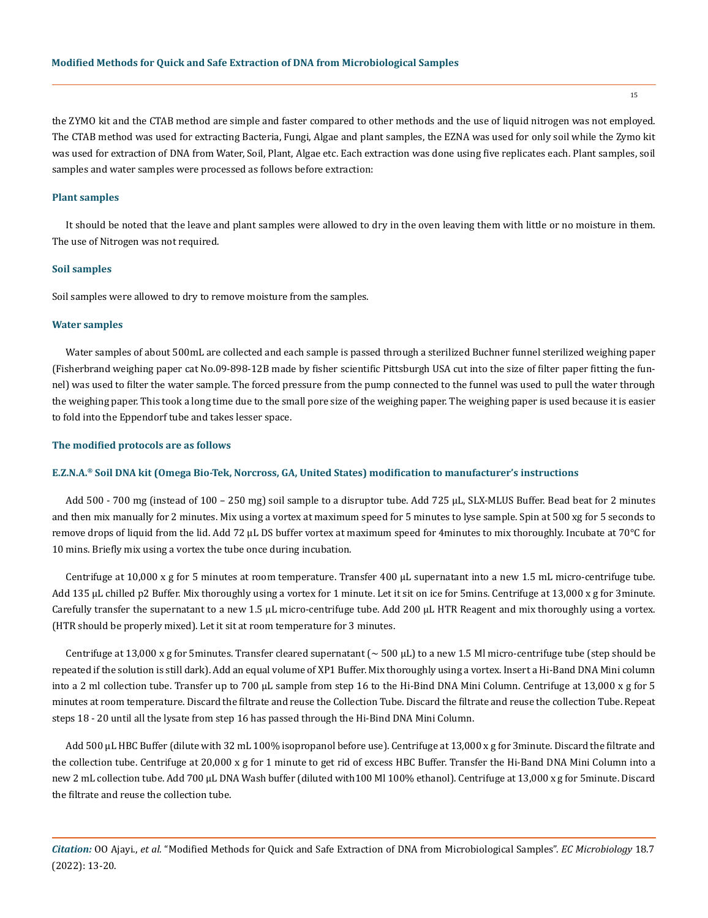the ZYMO kit and the CTAB method are simple and faster compared to other methods and the use of liquid nitrogen was not employed. The CTAB method was used for extracting Bacteria, Fungi, Algae and plant samples, the EZNA was used for only soil while the Zymo kit was used for extraction of DNA from Water, Soil, Plant, Algae etc. Each extraction was done using five replicates each. Plant samples, soil samples and water samples were processed as follows before extraction:

#### **Plant samples**

It should be noted that the leave and plant samples were allowed to dry in the oven leaving them with little or no moisture in them. The use of Nitrogen was not required.

#### **Soil samples**

Soil samples were allowed to dry to remove moisture from the samples.

#### **Water samples**

Water samples of about 500mL are collected and each sample is passed through a sterilized Buchner funnel sterilized weighing paper (Fisherbrand weighing paper cat No.09-898-12B made by fisher scientific Pittsburgh USA cut into the size of filter paper fitting the funnel) was used to filter the water sample. The forced pressure from the pump connected to the funnel was used to pull the water through the weighing paper. This took a long time due to the small pore size of the weighing paper. The weighing paper is used because it is easier to fold into the Eppendorf tube and takes lesser space.

#### **The modified protocols are as follows**

#### **E.Z.N.A.® Soil DNA kit (Omega Bio-Tek, Norcross, GA, United States) modification to manufacturer's instructions**

Add 500 - 700 mg (instead of 100 – 250 mg) soil sample to a disruptor tube. Add 725 µL, SLX-MLUS Buffer. Bead beat for 2 minutes and then mix manually for 2 minutes. Mix using a vortex at maximum speed for 5 minutes to lyse sample. Spin at 500 xg for 5 seconds to remove drops of liquid from the lid. Add 72 µL DS buffer vortex at maximum speed for 4minutes to mix thoroughly. Incubate at 70°C for 10 mins. Briefly mix using a vortex the tube once during incubation.

Centrifuge at 10,000 x g for 5 minutes at room temperature. Transfer 400 µL supernatant into a new 1.5 mL micro-centrifuge tube. Add 135 µL chilled p2 Buffer. Mix thoroughly using a vortex for 1 minute. Let it sit on ice for 5mins. Centrifuge at 13,000 x g for 3minute. Carefully transfer the supernatant to a new 1.5 µL micro-centrifuge tube. Add 200 µL HTR Reagent and mix thoroughly using a vortex. (HTR should be properly mixed). Let it sit at room temperature for 3 minutes.

Centrifuge at 13,000 x g for 5minutes. Transfer cleared supernatant ( $\sim 500 \,\mu$ L) to a new 1.5 Ml micro-centrifuge tube (step should be repeated if the solution is still dark). Add an equal volume of XP1 Buffer. Mix thoroughly using a vortex. Insert a Hi-Band DNA Mini column into a 2 ml collection tube. Transfer up to 700 µL sample from step 16 to the Hi-Bind DNA Mini Column. Centrifuge at 13,000 x g for 5 minutes at room temperature. Discard the filtrate and reuse the Collection Tube. Discard the filtrate and reuse the collection Tube. Repeat steps 18 - 20 until all the lysate from step 16 has passed through the Hi-Bind DNA Mini Column.

Add 500 µL HBC Buffer (dilute with 32 mL 100% isopropanol before use). Centrifuge at 13,000 x g for 3minute. Discard the filtrate and the collection tube. Centrifuge at 20,000 x g for 1 minute to get rid of excess HBC Buffer. Transfer the Hi-Band DNA Mini Column into a new 2 mL collection tube. Add 700 µL DNA Wash buffer (diluted with100 Ml 100% ethanol). Centrifuge at 13,000 x g for 5minute. Discard the filtrate and reuse the collection tube.

*Citation:* OO Ajayi., *et al.* "Modified Methods for Quick and Safe Extraction of DNA from Microbiological Samples". *EC Microbiology* 18.7 (2022): 13-20.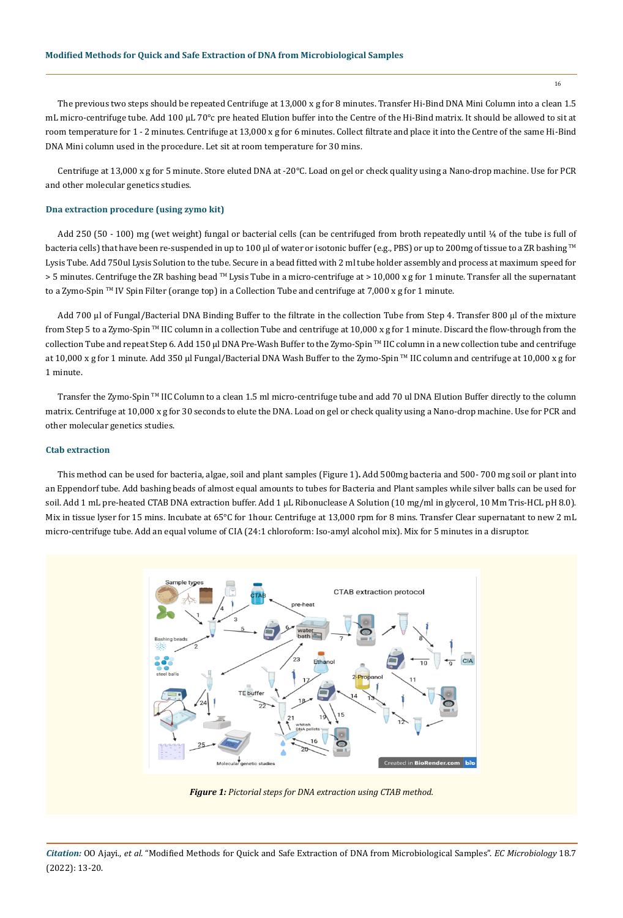The previous two steps should be repeated Centrifuge at 13,000 x g for 8 minutes. Transfer Hi-Bind DNA Mini Column into a clean 1.5 mL micro-centrifuge tube. Add 100 µL 70°c pre heated Elution buffer into the Centre of the Hi-Bind matrix. It should be allowed to sit at room temperature for 1 - 2 minutes. Centrifuge at 13,000 x g for 6 minutes. Collect filtrate and place it into the Centre of the same Hi-Bind DNA Mini column used in the procedure. Let sit at room temperature for 30 mins.

Centrifuge at 13,000 x g for 5 minute. Store eluted DNA at -20°C. Load on gel or check quality using a Nano-drop machine. Use for PCR and other molecular genetics studies.

# **Dna extraction procedure (using zymo kit)**

Add 250 (50 - 100) mg (wet weight) fungal or bacterial cells (can be centrifuged from broth repeatedly until ¼ of the tube is full of bacteria cells) that have been re-suspended in up to 100 µl of water or isotonic buffer (e.g., PBS) or up to 200mg of tissue to a ZR bashing ™ Lysis Tube. Add 750ul Lysis Solution to the tube. Secure in a bead fitted with 2 ml tube holder assembly and process at maximum speed for > 5 minutes. Centrifuge the ZR bashing bead ™ Lysis Tube in a micro-centrifuge at > 10,000 x g for 1 minute. Transfer all the supernatant to a Zymo-Spin <sup>TM</sup> IV Spin Filter (orange top) in a Collection Tube and centrifuge at 7,000 x g for 1 minute.

Add 700 µl of Fungal/Bacterial DNA Binding Buffer to the filtrate in the collection Tube from Step 4. Transfer 800 µl of the mixture from Step 5 to a Zymo-Spin ™ IIC column in a collection Tube and centrifuge at 10,000 x g for 1 minute. Discard the flow-through from the collection Tube and repeat Step 6. Add 150 µl DNA Pre-Wash Buffer to the Zymo-Spin ™ IIC column in a new collection tube and centrifuge at 10,000 x g for 1 minute. Add 350 µl Fungal/Bacterial DNA Wash Buffer to the Zymo-Spin <sup>™</sup> IIC column and centrifuge at 10,000 x g for 1 minute.

Transfer the Zymo-Spin TM IIC Column to a clean 1.5 ml micro-centrifuge tube and add 70 ul DNA Elution Buffer directly to the column matrix. Centrifuge at 10,000 x g for 30 seconds to elute the DNA. Load on gel or check quality using a Nano-drop machine. Use for PCR and other molecular genetics studies.

# **Ctab extraction**

This method can be used for bacteria, algae, soil and plant samples (Figure 1)**.** Add 500mg bacteria and 500- 700 mg soil or plant into an Eppendorf tube. Add bashing beads of almost equal amounts to tubes for Bacteria and Plant samples while silver balls can be used for soil. Add 1 mL pre-heated CTAB DNA extraction buffer. Add 1 µL Ribonuclease A Solution (10 mg/ml in glycerol, 10 Mm Tris-HCL pH 8.0). Mix in tissue lyser for 15 mins. Incubate at 65°C for 1hour. Centrifuge at 13,000 rpm for 8 mins. Transfer Clear supernatant to new 2 mL micro-centrifuge tube. Add an equal volume of CIA (24:1 chloroform: Iso-amyl alcohol mix). Mix for 5 minutes in a disruptor.



*Figure 1: Pictorial steps for DNA extraction using CTAB method.*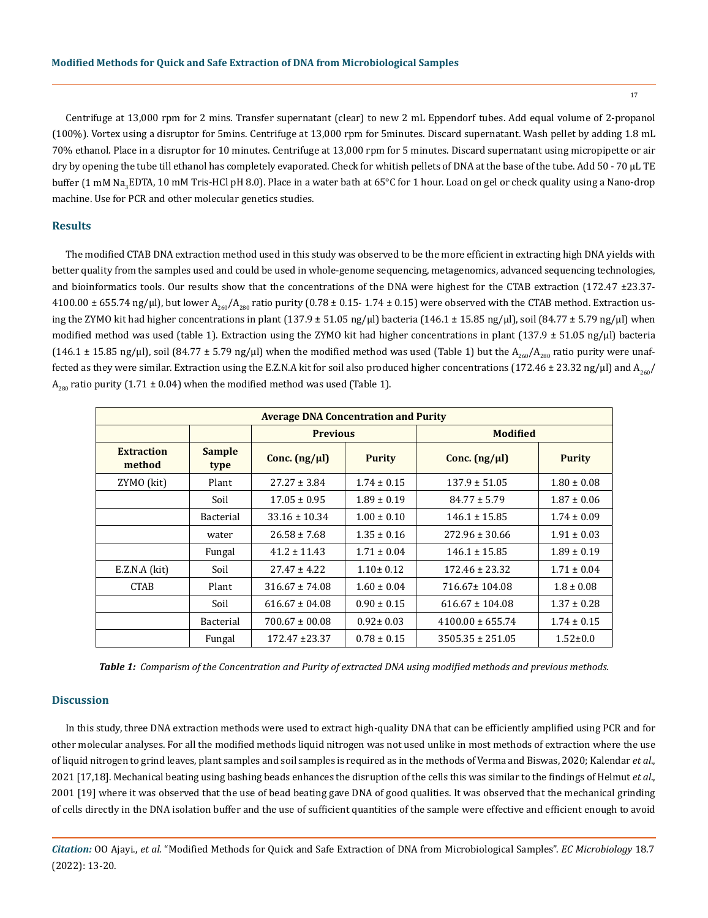17

Centrifuge at 13,000 rpm for 2 mins. Transfer supernatant (clear) to new 2 mL Eppendorf tubes. Add equal volume of 2-propanol (100%). Vortex using a disruptor for 5mins. Centrifuge at 13,000 rpm for 5minutes. Discard supernatant. Wash pellet by adding 1.8 mL 70% ethanol. Place in a disruptor for 10 minutes. Centrifuge at 13,000 rpm for 5 minutes. Discard supernatant using micropipette or air dry by opening the tube till ethanol has completely evaporated. Check for whitish pellets of DNA at the base of the tube. Add 50 - 70 µL TE buffer (1 mM Na<sub>3</sub>EDTA, 10 mM Tris-HCl pH 8.0). Place in a water bath at 65°C for 1 hour. Load on gel or check quality using a Nano-drop machine. Use for PCR and other molecular genetics studies.

# **Results**

The modified CTAB DNA extraction method used in this study was observed to be the more efficient in extracting high DNA yields with better quality from the samples used and could be used in whole-genome sequencing, metagenomics, advanced sequencing technologies, and bioinformatics tools. Our results show that the concentrations of the DNA were highest for the CTAB extraction (172.47 ±23.37-4100.00  $\pm$  655.74 ng/µl), but lower A<sub>260</sub>/A<sub>280</sub> ratio purity (0.78  $\pm$  0.15- 1.74  $\pm$  0.15) were observed with the CTAB method. Extraction using the ZYMO kit had higher concentrations in plant  $(137.9 \pm 51.05 \text{ ng/µl})$  bacteria  $(146.1 \pm 15.85 \text{ ng/µl})$ , soil  $(84.77 \pm 5.79 \text{ ng/µl})$  when modified method was used (table 1). Extraction using the ZYMO kit had higher concentrations in plant (137.9  $\pm$  51.05 ng/µl) bacteria (146.1 ± 15.85 ng/ $\mu$ l), soil (84.77 ± 5.79 ng/ $\mu$ l) when the modified method was used (Table 1) but the A<sub>260</sub>/A<sub>280</sub> ratio purity were unaffected as they were similar. Extraction using the E.Z.N.A kit for soil also produced higher concentrations (172.46 ± 23.32 ng/µl) and A<sub>260</sub>/  $A_{280}$  ratio purity (1.71 ± 0.04) when the modified method was used (Table 1).

| <b>Average DNA Concentration and Purity</b> |                       |                    |                 |                      |                 |
|---------------------------------------------|-----------------------|--------------------|-----------------|----------------------|-----------------|
|                                             |                       | <b>Previous</b>    |                 | <b>Modified</b>      |                 |
| <b>Extraction</b><br>method                 | <b>Sample</b><br>type | Conc. $(ng/µl)$    | <b>Purity</b>   | Conc. $(ng/µl)$      | <b>Purity</b>   |
| ZYMO (kit)                                  | Plant                 | $27.27 \pm 3.84$   | $1.74 \pm 0.15$ | $137.9 \pm 51.05$    | $1.80 \pm 0.08$ |
|                                             | Soil                  | $17.05 \pm 0.95$   | $1.89 \pm 0.19$ | $84.77 \pm 5.79$     | $1.87 \pm 0.06$ |
|                                             | <b>Bacterial</b>      | $33.16 \pm 10.34$  | $1.00 \pm 0.10$ | $146.1 \pm 15.85$    | $1.74 \pm 0.09$ |
|                                             | water                 | $26.58 \pm 7.68$   | $1.35 \pm 0.16$ | $272.96 \pm 30.66$   | $1.91 \pm 0.03$ |
|                                             | Fungal                | $41.2 \pm 11.43$   | $1.71 \pm 0.04$ | $146.1 \pm 15.85$    | $1.89 \pm 0.19$ |
| E.Z.N.A (kit)                               | Soil                  | $27.47 \pm 4.22$   | $1.10 \pm 0.12$ | $172.46 \pm 23.32$   | $1.71 \pm 0.04$ |
| <b>CTAB</b>                                 | Plant                 | $316.67 \pm 74.08$ | $1.60 \pm 0.04$ | 716.67±104.08        | $1.8 \pm 0.08$  |
|                                             | Soil                  | $616.67 \pm 04.08$ | $0.90 \pm 0.15$ | $616.67 \pm 104.08$  | $1.37 \pm 0.28$ |
|                                             | <b>Bacterial</b>      | $700.67 \pm 00.08$ | $0.92 \pm 0.03$ | $4100.00 \pm 655.74$ | $1.74 \pm 0.15$ |
|                                             | Fungal                | $172.47 \pm 23.37$ | $0.78 \pm 0.15$ | $3505.35 \pm 251.05$ | $1.52 \pm 0.0$  |

*Table 1: Comparism of the Concentration and Purity of extracted DNA using modified methods and previous methods.*

## **Discussion**

In this study, three DNA extraction methods were used to extract high-quality DNA that can be efficiently amplified using PCR and for other molecular analyses. For all the modified methods liquid nitrogen was not used unlike in most methods of extraction where the use of liquid nitrogen to grind leaves, plant samples and soil samples is required as in the methods of Verma and Biswas, 2020; Kalendar *et al*., 2021 [17,18]. Mechanical beating using bashing beads enhances the disruption of the cells this was similar to the findings of Helmut *et al*., 2001 [19] where it was observed that the use of bead beating gave DNA of good qualities. It was observed that the mechanical grinding of cells directly in the DNA isolation buffer and the use of sufficient quantities of the sample were effective and efficient enough to avoid

*Citation:* OO Ajayi., *et al.* "Modified Methods for Quick and Safe Extraction of DNA from Microbiological Samples". *EC Microbiology* 18.7 (2022): 13-20.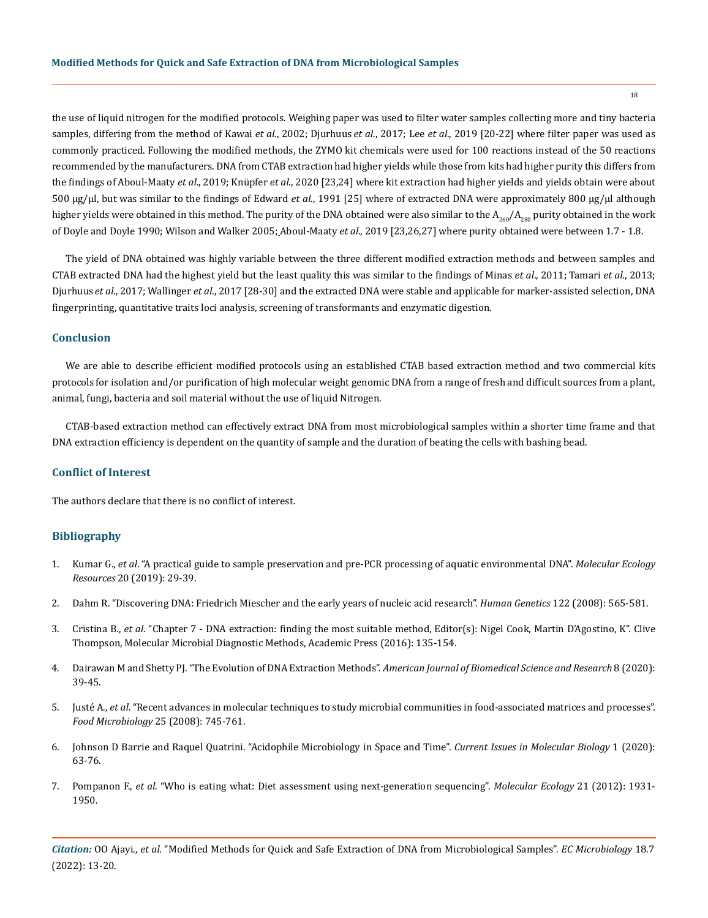the use of liquid nitrogen for the modified protocols. Weighing paper was used to filter water samples collecting more and tiny bacteria samples, differing from the method of Kawai *et al*., 2002; [Djurhuus](https://www.frontiersin.org/people/u/449471) *et al*., 2017; Lee *et al*., 2019 [20-22] where filter paper was used as commonly practiced. Following the modified methods, the ZYMO kit chemicals were used for 100 reactions instead of the 50 reactions recommended by the manufacturers. DNA from CTAB extraction had higher yields while those from kits had higher purity this differs from the findings of Aboul-Maaty *et al*., 2019; Knüpfer *et al*., 2020 [23,24] where kit extraction had higher yields and yields obtain were about 500 μg/μl, but was similar to the findings of Edward *et al*., 1991 [25] where of extracted DNA were approximately 800 μg/μl although higher yields were obtained in this method. The purity of the DNA obtained were also similar to the  $A_{260}/A_{280}$  purity obtained in the work of Doyle and Doyle 1990; Wilson and Walker 2005; Aboul-Maaty *et al*., 2019 [23,26,27] where purity obtained were between 1.7 - 1.8.

The yield of DNA obtained was highly variable between the three different modified extraction methods and between samples and CTAB extracted DNA had the highest yield but the least quality this was similar to the findings of Minas *et al*., 2011; Tamari *et al*., 2013; [Djurhuus](https://www.frontiersin.org/people/u/449471) *et al*., 2017; Wallinger *et al*., 2017 [28-30] and the extracted DNA were stable and applicable for marker-assisted selection, DNA fingerprinting, quantitative traits loci analysis, screening of transformants and enzymatic digestion.

#### **Conclusion**

We are able to describe efficient modified protocols using an established CTAB based extraction method and two commercial kits protocols for isolation and/or purification of high molecular weight genomic DNA from a range of fresh and difficult sources from a plant, animal, fungi, bacteria and soil material without the use of liquid Nitrogen.

CTAB-based extraction method can effectively extract DNA from most microbiological samples within a shorter time frame and that DNA extraction efficiency is dependent on the quantity of sample and the duration of beating the cells with bashing bead.

# **Conflict of Interest**

The authors declare that there is no conflict of interest.

#### **Bibliography**

- 1. Kumar G., *et al*[. "A practical guide to sample preservation and pre-PCR processing of aquatic environmental DNA".](https://onlinelibrary.wiley.com/doi/abs/10.1111/1755-0998.13107) *Molecular Ecology Resources* [20 \(2019\): 29-39.](https://onlinelibrary.wiley.com/doi/abs/10.1111/1755-0998.13107)
- 2. [Dahm R. "Discovering DNA: Friedrich Miescher and the early years of nucleic acid research".](https://link.springer.com/article/10.1007/s00439-007-0433-0) *Human Genetics* 122 (2008): 565-581.
- 3. Cristina B., *et al*. "Chapter 7 DNA extraction: finding the most suitable method, Editor(s): Nigel Cook, Martin D'Agostino, K". Clive Thompson, Molecular Microbial Diagnostic Methods, Academic Press (2016): 135-154.
- 4. [Dairawan M and Shetty PJ. "The Evolution of DNA Extraction Methods".](https://biomedgrid.com/fulltext/volume8/the-evolution-of-dna-extraction-methods.001234.php) *American Journal of Biomedical Science and Research* 8 (2020): [39-45.](https://biomedgrid.com/fulltext/volume8/the-evolution-of-dna-extraction-methods.001234.php)
- 5. Justé A., *et al*[. "Recent advances in molecular techniques to study microbial communities in food-associated matrices and processes".](https://pubmed.ncbi.nlm.nih.gov/18620966/)  *[Food Microbiology](https://pubmed.ncbi.nlm.nih.gov/18620966/)* 25 (2008): 745-761.
- 6. [Johnson D Barrie and Raquel Quatrini. "Acidophile Microbiology in Space and Time".](C://Users/ActaProof/Downloads/cimb-39-00003.pdf) *Current Issues in Molecular Biology* 1 (2020): [63-76.](C://Users/ActaProof/Downloads/cimb-39-00003.pdf)
- 7. Pompanon F., *et al*[. "Who is eating what: Diet assessment using next-generation sequencing".](https://www.academia.edu/47842230/Who_is_eating_what_diet_assessment_using_next_generation_sequencing) *Molecular Ecology* 21 (2012): 1931- [1950.](https://www.academia.edu/47842230/Who_is_eating_what_diet_assessment_using_next_generation_sequencing)

*Citation:* OO Ajayi., *et al.* "Modified Methods for Quick and Safe Extraction of DNA from Microbiological Samples". *EC Microbiology* 18.7 (2022): 13-20.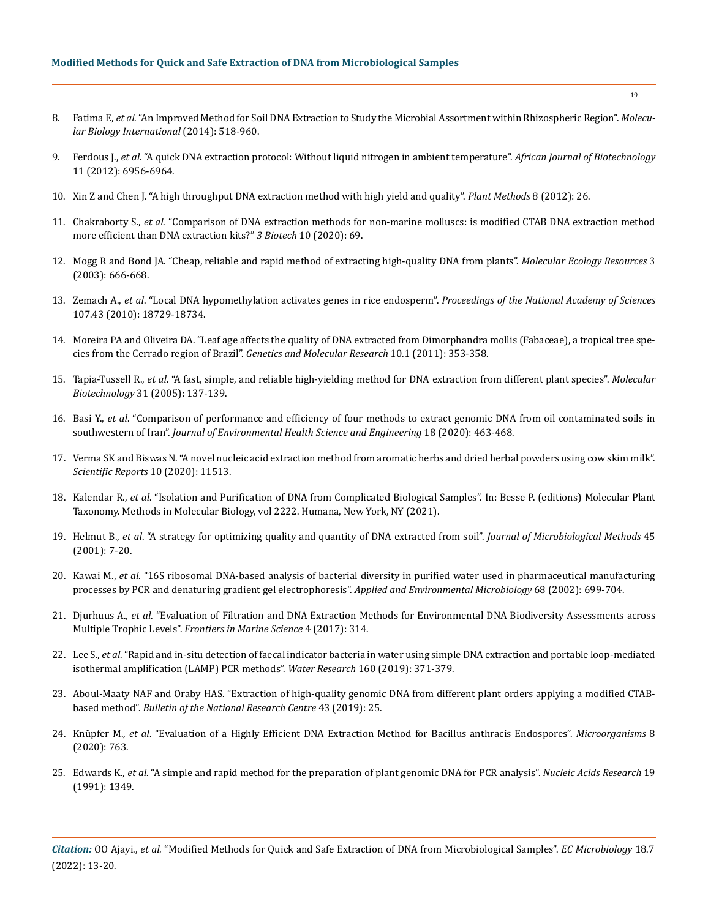- 8. Fatima F., *et al*[. "An Improved Method for Soil DNA Extraction to Study the Microbial Assortment within Rhizospheric Region".](https://pubmed.ncbi.nlm.nih.gov/25302120/) *Molecu[lar Biology International](https://pubmed.ncbi.nlm.nih.gov/25302120/)* (2014): 518-960.
- 9. Ferdous J., *et al*[. "A quick DNA extraction protocol: Without liquid nitrogen in ambient temperature".](https://www.ajol.info/index.php/ajb/article/view/102114) *African Journal of Biotechnology* [11 \(2012\): 6956-6964.](https://www.ajol.info/index.php/ajb/article/view/102114)
- 10. [Xin Z and Chen J. "A high throughput DNA extraction method with high yield and quality".](https://plantmethods.biomedcentral.com/articles/10.1186/1746-4811-8-26) *Plant Methods* 8 (2012): 26.
- 11. Chakraborty S., *et al*[. "Comparison of DNA extraction methods for non-marine molluscs: is modified CTAB DNA extraction method](https://pubmed.ncbi.nlm.nih.gov/32030338/)  [more efficient than DNA extraction kits?"](https://pubmed.ncbi.nlm.nih.gov/32030338/) *3 Biotech* 10 (2020): 69.
- 12. [Mogg R and Bond JA. "Cheap, reliable and rapid method of extracting high-quality DNA from plants".](https://onlinelibrary.wiley.com/doi/abs/10.1046/j.1471-8286.2003.00548.x) *Molecular Ecology Resources* 3 [\(2003\): 666-668.](https://onlinelibrary.wiley.com/doi/abs/10.1046/j.1471-8286.2003.00548.x)
- 13. Zemach A., *et al*[. "Local DNA hypomethylation activates genes in rice endosperm".](https://www.pnas.org/doi/10.1073/pnas.1009695107) *Proceedings of the National Academy of Sciences* [107.43 \(2010\): 18729-18734.](https://www.pnas.org/doi/10.1073/pnas.1009695107)
- 14. Moreira PA and Oliveira DA. ["Leaf age affects the quality of DNA extracted from Dimorphandra mollis \(Fabaceae\), a tropical tree spe](https://pubmed.ncbi.nlm.nih.gov/21365551/)cies from the Cerrado region of Brazil". *[Genetics and Molecular Research](https://pubmed.ncbi.nlm.nih.gov/21365551/)* 10.1 (2011): 353-358.
- 15. Tapia-Tussell R., *et al*[. "A fast, simple, and reliable high-yielding method for DNA extraction from different plant species".](https://pubmed.ncbi.nlm.nih.gov/16170214/) *Molecular Biotechnology* [31 \(2005\): 137-139.](https://pubmed.ncbi.nlm.nih.gov/16170214/)
- 16. Basi Y., *et al*[. "Comparison of performance and efficiency of four methods to extract genomic DNA from oil contaminated soils in](https://pubmed.ncbi.nlm.nih.gov/33312575/)  southwestern of Iran". *[Journal of Environmental Health Science and Engineering](https://pubmed.ncbi.nlm.nih.gov/33312575/)* 18 (2020): 463-468.
- 17. [Verma SK and Biswas N. "A novel nucleic acid extraction method from aromatic herbs and dried herbal powders using cow skim milk".](https://www.nature.com/articles/s41598-020-68467-4)  *[Scientific Reports](https://www.nature.com/articles/s41598-020-68467-4)* 10 (2020): 11513.
- 18. Kalendar R., *et al*[. "Isolation and Purification of DNA from Complicated Biological Samples". In: Besse P. \(editions\) Molecular Plant](https://researchportal.helsinki.fi/en/publications/isolation-and-purification-of-dna-from-complicated-biological-sam)  [Taxonomy. Methods in Molecular Biology, vol 2222. Humana, New York, NY \(2021\).](https://researchportal.helsinki.fi/en/publications/isolation-and-purification-of-dna-from-complicated-biological-sam)
- 19. Helmut B., *et al*[. "A strategy for optimizing quality and quantity of DNA extracted from soil".](https://pubmed.ncbi.nlm.nih.gov/11295193/) *Journal of Microbiological Methods* 45 [\(2001\): 7-20.](https://pubmed.ncbi.nlm.nih.gov/11295193/)
- 20. Kawai M., *et al*[. "16S ribosomal DNA-based analysis of bacterial diversity in purified water used in pharmaceutical manufacturing](https://www.ncbi.nlm.nih.gov/pmc/articles/PMC126735/)  [processes by PCR and denaturing gradient gel electrophoresis".](https://www.ncbi.nlm.nih.gov/pmc/articles/PMC126735/) *Applied and Environmental Microbiology* 68 (2002): 699-704.
- 21. Djurhuus A., *et al*[. "Evaluation of Filtration and DNA Extraction Methods for Environmental DNA Biodiversity Assessments across](https://www.frontiersin.org/articles/10.3389/fmars.2017.00314/full)  Multiple Trophic Levels". *[Frontiers in Marine Science](https://www.frontiersin.org/articles/10.3389/fmars.2017.00314/full)* 4 (2017): 314.
- 22. Lee S., *et al*[. "Rapid and in-situ detection of faecal indicator bacteria in water using simple DNA extraction and portable loop-mediated](https://www.sciencedirect.com/science/article/abs/pii/S0043135419304373)  [isothermal amplification \(LAMP\) PCR methods".](https://www.sciencedirect.com/science/article/abs/pii/S0043135419304373) *Water Research* 160 (2019): 371-379.
- 23. [Aboul-Maaty NAF and Oraby HAS. "Extraction of high-quality genomic DNA from different plant orders applying a modified CTAB](https://bnrc.springeropen.com/articles/10.1186/s42269-019-0066-1)based method". *[Bulletin of the National Research Centre](https://bnrc.springeropen.com/articles/10.1186/s42269-019-0066-1)* 43 (2019): 25.
- 24. Knüpfer M., *et al*[. "Evaluation of a Highly Efficient DNA Extraction Method for Bacillus anthracis Endospores".](https://www.ncbi.nlm.nih.gov/pmc/articles/PMC7285266/) *Microorganisms* 8 [\(2020\): 763.](https://www.ncbi.nlm.nih.gov/pmc/articles/PMC7285266/)
- 25. Edwards K., *et al*[. "A simple and rapid method for the preparation of plant genomic DNA for PCR analysis".](https://www.ncbi.nlm.nih.gov/pmc/articles/PMC333874/) *Nucleic Acids Research* 19 [\(1991\): 1349.](https://www.ncbi.nlm.nih.gov/pmc/articles/PMC333874/)